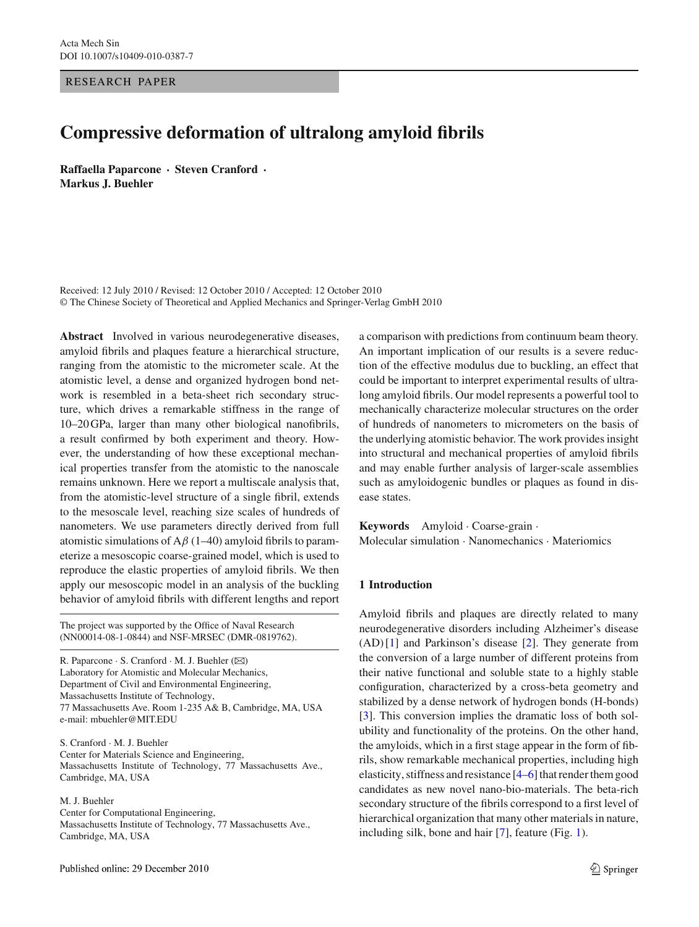RESEARCH PAPER

# **Compressive deformation of ultralong amyloid fibrils**

**Raffaella Paparcone · Steven Cranford · Markus J. Buehler**

Received: 12 July 2010 / Revised: 12 October 2010 / Accepted: 12 October 2010 © The Chinese Society of Theoretical and Applied Mechanics and Springer-Verlag GmbH 2010

**Abstract** Involved in various neurodegenerative diseases, amyloid fibrils and plaques feature a hierarchical structure, ranging from the atomistic to the micrometer scale. At the atomistic level, a dense and organized hydrogen bond network is resembled in a beta-sheet rich secondary structure, which drives a remarkable stiffness in the range of 10–20 GPa, larger than many other biological nanofibrils, a result confirmed by both experiment and theory. However, the understanding of how these exceptional mechanical properties transfer from the atomistic to the nanoscale remains unknown. Here we report a multiscale analysis that, from the atomistic-level structure of a single fibril, extends to the mesoscale level, reaching size scales of hundreds of nanometers. We use parameters directly derived from full atomistic simulations of  $A\beta$  (1–40) amyloid fibrils to parameterize a mesoscopic coarse-grained model, which is used to reproduce the elastic properties of amyloid fibrils. We then apply our mesoscopic model in an analysis of the buckling behavior of amyloid fibrils with different lengths and report

The project was supported by the Office of Naval Research (NN00014-08-1-0844) and NSF-MRSEC (DMR-0819762).

R. Paparcone  $\cdot$  S. Cranford  $\cdot$  M. J. Buehler ( $\boxtimes$ ) Laboratory for Atomistic and Molecular Mechanics, Department of Civil and Environmental Engineering, Massachusetts Institute of Technology, 77 Massachusetts Ave. Room 1-235 A& B, Cambridge, MA, USA e-mail: mbuehler@MIT.EDU

S. Cranford · M. J. Buehler Center for Materials Science and Engineering, Massachusetts Institute of Technology, 77 Massachusetts Ave., Cambridge, MA, USA

M. J. Buehler Center for Computational Engineering, Massachusetts Institute of Technology, 77 Massachusetts Ave., Cambridge, MA, USA

a comparison with predictions from continuum beam theory. An important implication of our results is a severe reduction of the effective modulus due to buckling, an effect that could be important to interpret experimental results of ultralong amyloid fibrils. Our model represents a powerful tool to mechanically characterize molecular structures on the order of hundreds of nanometers to micrometers on the basis of the underlying atomistic behavior. The work provides insight into structural and mechanical properties of amyloid fibrils and may enable further analysis of larger-scale assemblies such as amyloidogenic bundles or plaques as found in disease states.

**Keywords** Amyloid · Coarse-grain · Molecular simulation · Nanomechanics · Materiomics

# **1 Introduction**

Amyloid fibrils and plaques are directly related to many neurodegenerative disorders including Alzheimer's disease  $(AD)$ [\[1\]](#page-8-0) and Parkinson's disease [\[2](#page-8-1)]. They generate from the conversion of a large number of different proteins from their native functional and soluble state to a highly stable configuration, characterized by a cross-beta geometry and stabilized by a dense network of hydrogen bonds (H-bonds) [\[3](#page-8-2)]. This conversion implies the dramatic loss of both solubility and functionality of the proteins. On the other hand, the amyloids, which in a first stage appear in the form of fibrils, show remarkable mechanical properties, including high elasticity, stiffness and resistance [\[4](#page-8-3)[–6](#page-8-4)] that render them good candidates as new novel nano-bio-materials. The beta-rich secondary structure of the fibrils correspond to a first level of hierarchical organization that many other materials in nature, including silk, bone and hair [\[7\]](#page-8-5), feature (Fig. [1\)](#page-1-0).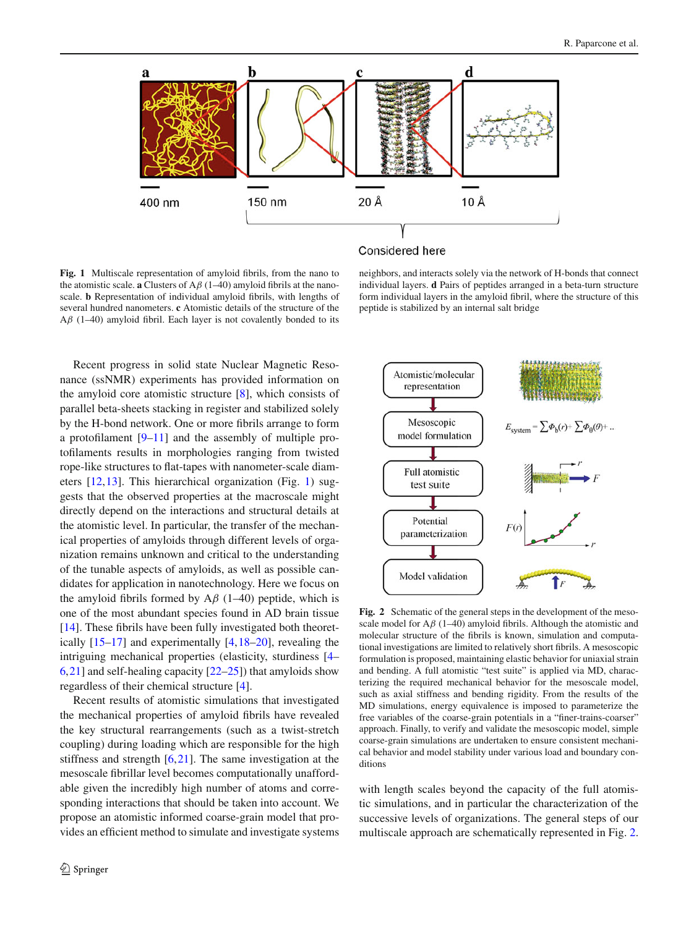

**Considered here** 

<span id="page-1-0"></span>**Fig. 1** Multiscale representation of amyloid fibrils, from the nano to the atomistic scale. **a** Clusters of  $A\beta$  (1–40) amyloid fibrils at the nanoscale. **b** Representation of individual amyloid fibrils, with lengths of several hundred nanometers. **c** Atomistic details of the structure of the  $A\beta$  (1–40) amyloid fibril. Each layer is not covalently bonded to its

neighbors, and interacts solely via the network of H-bonds that connect individual layers. **d** Pairs of peptides arranged in a beta-turn structure form individual layers in the amyloid fibril, where the structure of this peptide is stabilized by an internal salt bridge

Recent progress in solid state Nuclear Magnetic Resonance (ssNMR) experiments has provided information on the amyloid core atomistic structure [\[8](#page-8-6)], which consists of parallel beta-sheets stacking in register and stabilized solely by the H-bond network. One or more fibrils arrange to form a protofilament [\[9](#page-8-7)[–11](#page-8-8)] and the assembly of multiple protofilaments results in morphologies ranging from twisted rope-like structures to flat-tapes with nanometer-scale diameters [\[12](#page-8-9)[,13](#page-8-10)]. This hierarchical organization (Fig. [1\)](#page-1-0) suggests that the observed properties at the macroscale might directly depend on the interactions and structural details at the atomistic level. In particular, the transfer of the mechanical properties of amyloids through different levels of organization remains unknown and critical to the understanding of the tunable aspects of amyloids, as well as possible candidates for application in nanotechnology. Here we focus on the amyloid fibrils formed by  $A\beta$  (1–40) peptide, which is one of the most abundant species found in AD brain tissue [\[14](#page-8-11)]. These fibrils have been fully investigated both theoretically [\[15](#page-8-12)[–17\]](#page-8-13) and experimentally [\[4](#page-8-3)[,18](#page-8-14)[–20](#page-8-15)], revealing the intriguing mechanical properties (elasticity, sturdiness [\[4](#page-8-3)– [6](#page-8-4)[,21](#page-8-16)] and self-healing capacity [\[22](#page-8-17)[–25\]](#page-8-18)) that amyloids show regardless of their chemical structure [\[4](#page-8-3)].

Recent results of atomistic simulations that investigated the mechanical properties of amyloid fibrils have revealed the key structural rearrangements (such as a twist-stretch coupling) during loading which are responsible for the high stiffness and strength [\[6](#page-8-4)[,21](#page-8-16)]. The same investigation at the mesoscale fibrillar level becomes computationally unaffordable given the incredibly high number of atoms and corresponding interactions that should be taken into account. We propose an atomistic informed coarse-grain model that provides an efficient method to simulate and investigate systems



<span id="page-1-1"></span>**Fig. 2** Schematic of the general steps in the development of the mesoscale model for  $A\beta$  (1–40) amyloid fibrils. Although the atomistic and molecular structure of the fibrils is known, simulation and computational investigations are limited to relatively short fibrils. A mesoscopic formulation is proposed, maintaining elastic behavior for uniaxial strain and bending. A full atomistic "test suite" is applied via MD, characterizing the required mechanical behavior for the mesoscale model, such as axial stiffness and bending rigidity. From the results of the MD simulations, energy equivalence is imposed to parameterize the free variables of the coarse-grain potentials in a "finer-trains-coarser" approach. Finally, to verify and validate the mesoscopic model, simple coarse-grain simulations are undertaken to ensure consistent mechanical behavior and model stability under various load and boundary conditions

with length scales beyond the capacity of the full atomistic simulations, and in particular the characterization of the successive levels of organizations. The general steps of our multiscale approach are schematically represented in Fig. [2.](#page-1-1)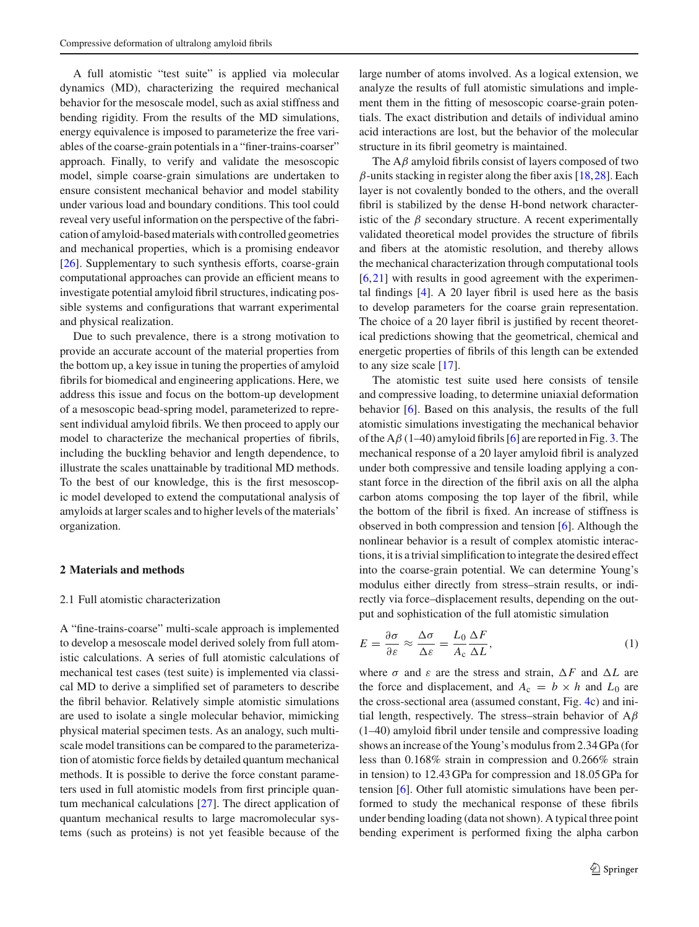A full atomistic "test suite" is applied via molecular dynamics (MD), characterizing the required mechanical behavior for the mesoscale model, such as axial stiffness and bending rigidity. From the results of the MD simulations, energy equivalence is imposed to parameterize the free variables of the coarse-grain potentials in a "finer-trains-coarser" approach. Finally, to verify and validate the mesoscopic model, simple coarse-grain simulations are undertaken to ensure consistent mechanical behavior and model stability under various load and boundary conditions. This tool could reveal very useful information on the perspective of the fabrication of amyloid-based materials with controlled geometries and mechanical properties, which is a promising endeavor [\[26](#page-8-19)]. Supplementary to such synthesis efforts, coarse-grain computational approaches can provide an efficient means to investigate potential amyloid fibril structures, indicating possible systems and configurations that warrant experimental and physical realization.

Due to such prevalence, there is a strong motivation to provide an accurate account of the material properties from the bottom up, a key issue in tuning the properties of amyloid fibrils for biomedical and engineering applications. Here, we address this issue and focus on the bottom-up development of a mesoscopic bead-spring model, parameterized to represent individual amyloid fibrils. We then proceed to apply our model to characterize the mechanical properties of fibrils, including the buckling behavior and length dependence, to illustrate the scales unattainable by traditional MD methods. To the best of our knowledge, this is the first mesoscopic model developed to extend the computational analysis of amyloids at larger scales and to higher levels of the materials' organization.

## **2 Materials and methods**

## 2.1 Full atomistic characterization

A "fine-trains-coarse" multi-scale approach is implemented to develop a mesoscale model derived solely from full atomistic calculations. A series of full atomistic calculations of mechanical test cases (test suite) is implemented via classical MD to derive a simplified set of parameters to describe the fibril behavior. Relatively simple atomistic simulations are used to isolate a single molecular behavior, mimicking physical material specimen tests. As an analogy, such multiscale model transitions can be compared to the parameterization of atomistic force fields by detailed quantum mechanical methods. It is possible to derive the force constant parameters used in full atomistic models from first principle quantum mechanical calculations [\[27](#page-8-20)]. The direct application of quantum mechanical results to large macromolecular systems (such as proteins) is not yet feasible because of the

large number of atoms involved. As a logical extension, we analyze the results of full atomistic simulations and implement them in the fitting of mesoscopic coarse-grain potentials. The exact distribution and details of individual amino acid interactions are lost, but the behavior of the molecular structure in its fibril geometry is maintained.

The  $A\beta$  amyloid fibrils consist of layers composed of two  $\beta$ -units stacking in register along the fiber axis [\[18](#page-8-14),[28\]](#page-8-21). Each layer is not covalently bonded to the others, and the overall fibril is stabilized by the dense H-bond network characteristic of the  $\beta$  secondary structure. A recent experimentally validated theoretical model provides the structure of fibrils and fibers at the atomistic resolution, and thereby allows the mechanical characterization through computational tools [\[6](#page-8-4),[21\]](#page-8-16) with results in good agreement with the experimental findings [\[4\]](#page-8-3). A 20 layer fibril is used here as the basis to develop parameters for the coarse grain representation. The choice of a 20 layer fibril is justified by recent theoretical predictions showing that the geometrical, chemical and energetic properties of fibrils of this length can be extended to any size scale [\[17\]](#page-8-13).

The atomistic test suite used here consists of tensile and compressive loading, to determine uniaxial deformation behavior [\[6](#page-8-4)]. Based on this analysis, the results of the full atomistic simulations investigating the mechanical behavior of the A $\beta$  (1–40) amyloid fibrils [\[6\]](#page-8-4) are reported in Fig. [3.](#page-3-0) The mechanical response of a 20 layer amyloid fibril is analyzed under both compressive and tensile loading applying a constant force in the direction of the fibril axis on all the alpha carbon atoms composing the top layer of the fibril, while the bottom of the fibril is fixed. An increase of stiffness is observed in both compression and tension [\[6\]](#page-8-4). Although the nonlinear behavior is a result of complex atomistic interactions, it is a trivial simplification to integrate the desired effect into the coarse-grain potential. We can determine Young's modulus either directly from stress–strain results, or indirectly via force–displacement results, depending on the output and sophistication of the full atomistic simulation

$$
E = \frac{\partial \sigma}{\partial \varepsilon} \approx \frac{\Delta \sigma}{\Delta \varepsilon} = \frac{L_0}{A_c} \frac{\Delta F}{\Delta L},\tag{1}
$$

where  $\sigma$  and  $\varepsilon$  are the stress and strain,  $\Delta F$  and  $\Delta L$  are the force and displacement, and  $A_c = b \times h$  and  $L_0$  are the cross-sectional area (assumed constant, Fig. [4c](#page-3-1)) and initial length, respectively. The stress–strain behavior of  $A\beta$ (1–40) amyloid fibril under tensile and compressive loading shows an increase of the Young's modulus from 2.34 GPa (for less than 0.168% strain in compression and 0.266% strain in tension) to 12.43 GPa for compression and 18.05 GPa for tension [\[6](#page-8-4)]. Other full atomistic simulations have been performed to study the mechanical response of these fibrils under bending loading (data not shown). A typical three point bending experiment is performed fixing the alpha carbon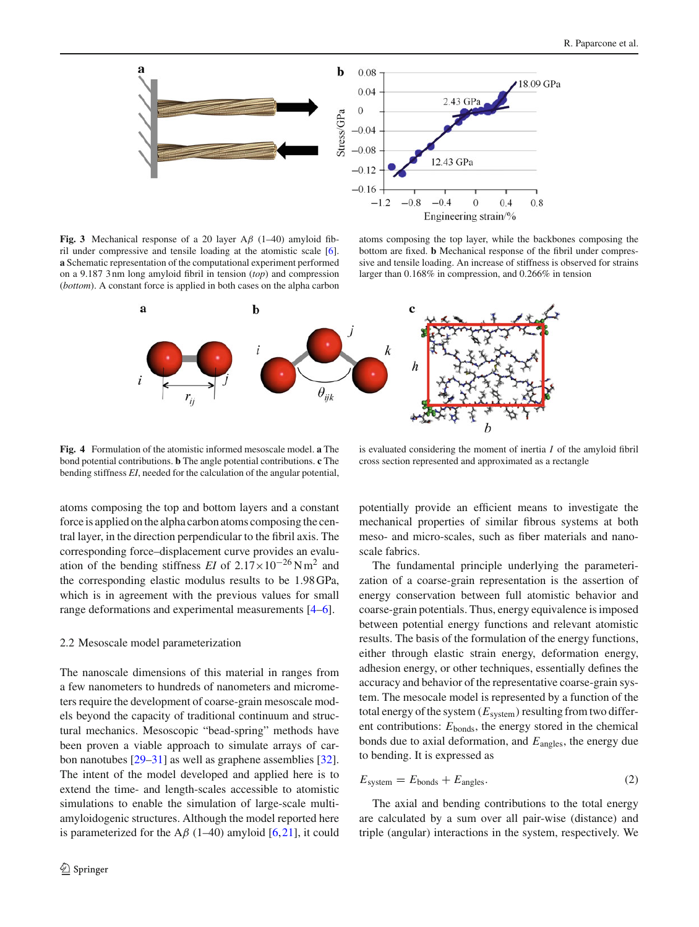

<span id="page-3-0"></span>**Fig. 3** Mechanical response of a 20 layer  $A\beta$  (1–40) amyloid fibril under compressive and tensile loading at the atomistic scale [\[6](#page-8-4)]. **a** Schematic representation of the computational experiment performed on a 9.187 3 nm long amyloid fibril in tension (*top*) and compression (*bottom*). A constant force is applied in both cases on the alpha carbon

atoms composing the top layer, while the backbones composing the bottom are fixed. **b** Mechanical response of the fibril under compressive and tensile loading. An increase of stiffness is observed for strains larger than 0.168% in compression, and 0.266% in tension



<span id="page-3-1"></span>**Fig. 4** Formulation of the atomistic informed mesoscale model. **a** The bond potential contributions. **b** The angle potential contributions. **c** The bending stiffness *EI*, needed for the calculation of the angular potential,

is evaluated considering the moment of inertia *I* of the amyloid fibril cross section represented and approximated as a rectangle

atoms composing the top and bottom layers and a constant force is applied on the alpha carbon atoms composing the central layer, in the direction perpendicular to the fibril axis. The corresponding force–displacement curve provides an evaluation of the bending stiffness *EI* of  $2.17 \times 10^{-26}$  N m<sup>2</sup> and the corresponding elastic modulus results to be 1.98 GPa, which is in agreement with the previous values for small range deformations and experimental measurements [\[4](#page-8-3)[–6\]](#page-8-4).

#### 2.2 Mesoscale model parameterization

The nanoscale dimensions of this material in ranges from a few nanometers to hundreds of nanometers and micrometers require the development of coarse-grain mesoscale models beyond the capacity of traditional continuum and structural mechanics. Mesoscopic "bead-spring" methods have been proven a viable approach to simulate arrays of carbon nanotubes [\[29](#page-8-22)[–31](#page-9-0)] as well as graphene assemblies [\[32](#page-9-1)]. The intent of the model developed and applied here is to extend the time- and length-scales accessible to atomistic simulations to enable the simulation of large-scale multiamyloidogenic structures. Although the model reported here is parameterized for the A $\beta$  (1–40) amyloid [\[6](#page-8-4)[,21](#page-8-16)], it could potentially provide an efficient means to investigate the mechanical properties of similar fibrous systems at both meso- and micro-scales, such as fiber materials and nanoscale fabrics.

The fundamental principle underlying the parameterization of a coarse-grain representation is the assertion of energy conservation between full atomistic behavior and coarse-grain potentials. Thus, energy equivalence is imposed between potential energy functions and relevant atomistic results. The basis of the formulation of the energy functions, either through elastic strain energy, deformation energy, adhesion energy, or other techniques, essentially defines the accuracy and behavior of the representative coarse-grain system. The mesocale model is represented by a function of the total energy of the system  $(E_{system})$  resulting from two different contributions:  $E_{bonds}$ , the energy stored in the chemical bonds due to axial deformation, and  $E_{\text{angles}}$ , the energy due to bending. It is expressed as

$$
E_{\text{system}} = E_{\text{bonds}} + E_{\text{angles}}.\tag{2}
$$

The axial and bending contributions to the total energy are calculated by a sum over all pair-wise (distance) and triple (angular) interactions in the system, respectively. We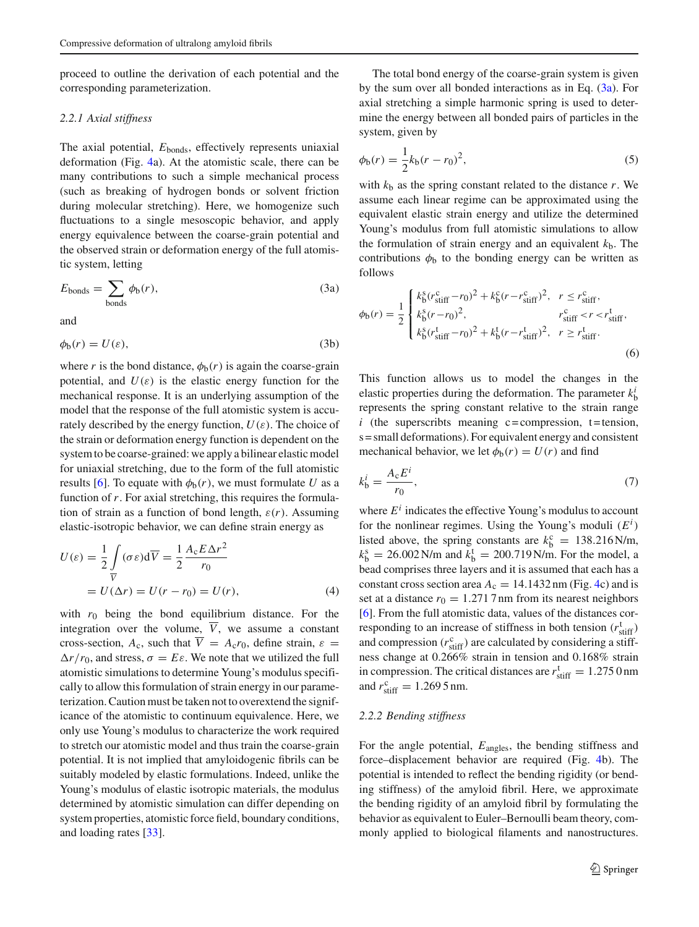proceed to outline the derivation of each potential and the corresponding parameterization.

#### *2.2.1 Axial stiffness*

The axial potential,  $E_{\text{bonds}}$ , effectively represents uniaxial deformation (Fig. [4a](#page-3-1)). At the atomistic scale, there can be many contributions to such a simple mechanical process (such as breaking of hydrogen bonds or solvent friction during molecular stretching). Here, we homogenize such fluctuations to a single mesoscopic behavior, and apply energy equivalence between the coarse-grain potential and the observed strain or deformation energy of the full atomistic system, letting

<span id="page-4-0"></span>
$$
E_{\text{bonds}} = \sum_{\text{bonds}} \phi_{\text{b}}(r),\tag{3a}
$$

and

$$
\phi_{\mathbf{b}}(r) = U(\varepsilon),\tag{3b}
$$

where *r* is the bond distance,  $\phi_b(r)$  is again the coarse-grain potential, and  $U(\varepsilon)$  is the elastic energy function for the mechanical response. It is an underlying assumption of the model that the response of the full atomistic system is accurately described by the energy function,  $U(\varepsilon)$ . The choice of the strain or deformation energy function is dependent on the system to be coarse-grained: we apply a bilinear elastic model for uniaxial stretching, due to the form of the full atomistic results [\[6\]](#page-8-4). To equate with  $\phi_b(r)$ , we must formulate *U* as a function of *r*. For axial stretching, this requires the formulation of strain as a function of bond length,  $\varepsilon(r)$ . Assuming elastic-isotropic behavior, we can define strain energy as

$$
U(\varepsilon) = \frac{1}{2} \int_{\overline{V}} (\sigma \varepsilon) d\overline{V} = \frac{1}{2} \frac{A_c E \Delta r^2}{r_0}
$$
  
=  $U(\Delta r) = U(r - r_0) = U(r),$  (4)

with  $r_0$  being the bond equilibrium distance. For the integration over the volume,  $\overline{V}$ , we assume a constant cross-section,  $A_c$ , such that  $\overline{V} = A_c r_0$ , define strain,  $\varepsilon =$  $\Delta r/r_0$ , and stress,  $\sigma = E\varepsilon$ . We note that we utilized the full atomistic simulations to determine Young's modulus specifically to allow this formulation of strain energy in our parameterization. Caution must be taken not to overextend the significance of the atomistic to continuum equivalence. Here, we only use Young's modulus to characterize the work required to stretch our atomistic model and thus train the coarse-grain potential. It is not implied that amyloidogenic fibrils can be suitably modeled by elastic formulations. Indeed, unlike the Young's modulus of elastic isotropic materials, the modulus determined by atomistic simulation can differ depending on system properties, atomistic force field, boundary conditions, and loading rates [\[33\]](#page-9-2).

The total bond energy of the coarse-grain system is given by the sum over all bonded interactions as in Eq. [\(3a\)](#page-4-0). For axial stretching a simple harmonic spring is used to determine the energy between all bonded pairs of particles in the system, given by

$$
\phi_{b}(r) = \frac{1}{2}k_{b}(r - r_{0})^{2},
$$
\n(5)

with  $k<sub>b</sub>$  as the spring constant related to the distance  $r$ . We assume each linear regime can be approximated using the equivalent elastic strain energy and utilize the determined Young's modulus from full atomistic simulations to allow the formulation of strain energy and an equivalent  $k<sub>b</sub>$ . The contributions  $\phi_b$  to the bonding energy can be written as follows

$$
\phi_{\rm b}(r) = \frac{1}{2} \begin{cases} k_{\rm b}^{\rm s}(r_{\rm stiff}^{\rm c} - r_0)^2 + k_{\rm b}^{\rm c}(r - r_{\rm stiff}^{\rm c})^2, & r \le r_{\rm stiff}^{\rm c}, \\ k_{\rm b}^{\rm s}(r - r_0)^2, & r_{\rm stiff}^{\rm c} < r < r_{\rm stiff}^{\rm t}, \\ k_{\rm b}^{\rm s}(r_{\rm stiff}^{\rm t} - r_0)^2 + k_{\rm b}^{\rm t}(r - r_{\rm stiff}^{\rm t})^2, & r \ge r_{\rm stiff}^{\rm t}. \end{cases} \tag{6}
$$

This function allows us to model the changes in the elastic properties during the deformation. The parameter  $k_b^i$ represents the spring constant relative to the strain range  $i$  (the superscribts meaning c = compression, t = tension, s = small deformations). For equivalent energy and consistent mechanical behavior, we let  $\phi_b(r) = U(r)$  and find

$$
k_b^i = \frac{A_c E^i}{r_0},\tag{7}
$$

where  $E^i$  indicates the effective Young's modulus to account for the nonlinear regimes. Using the Young's moduli (*E<sup>i</sup>* ) listed above, the spring constants are  $k_b^c = 138.216 \text{ N/m}$ ,  $k_b^s = 26.002$  N/m and  $k_b^t = 200.719$  N/m. For the model, a bead comprises three layers and it is assumed that each has a constant cross section area  $A_c = 14.1432$  nm (Fig. [4c](#page-3-1)) and is set at a distance  $r_0 = 1.2717$  nm from its nearest neighbors [\[6](#page-8-4)]. From the full atomistic data, values of the distances corresponding to an increase of stiffness in both tension  $(r_{\text{stiff}}^t)$ and compression  $(r_{\text{stiff}}^{\text{c}})$  are calculated by considering a stiffness change at 0.266% strain in tension and 0.168% strain in compression. The critical distances are  $r_{\text{stiff}}^t = 1.2750 \text{ nm}$ and  $r_{\text{stiff}}^{\text{c}} = 1.2695 \text{ nm}.$ 

## *2.2.2 Bending stiffness*

For the angle potential,  $E_{\text{angles}}$ , the bending stiffness and force–displacement behavior are required (Fig. [4b](#page-3-1)). The potential is intended to reflect the bending rigidity (or bending stiffness) of the amyloid fibril. Here, we approximate the bending rigidity of an amyloid fibril by formulating the behavior as equivalent to Euler–Bernoulli beam theory, commonly applied to biological filaments and nanostructures.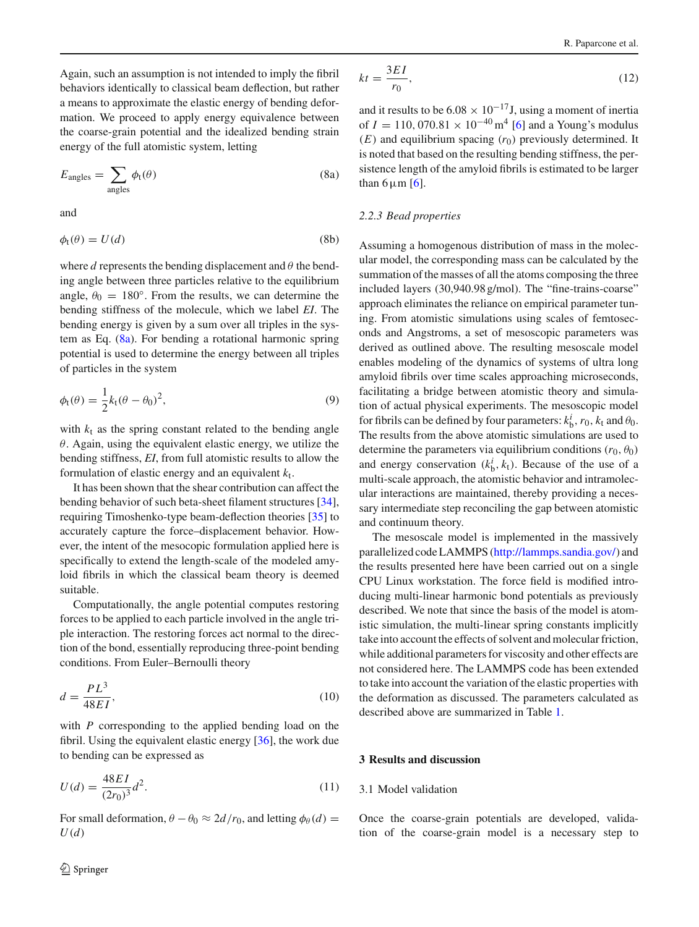Again, such an assumption is not intended to imply the fibril behaviors identically to classical beam deflection, but rather a means to approximate the elastic energy of bending deformation. We proceed to apply energy equivalence between the coarse-grain potential and the idealized bending strain energy of the full atomistic system, letting

<span id="page-5-0"></span>
$$
E_{\text{angles}} = \sum_{\text{angles}} \phi_t(\theta) \tag{8a}
$$

and

$$
\phi_t(\theta) = U(d) \tag{8b}
$$

where *d* represents the bending displacement and  $\theta$  the bending angle between three particles relative to the equilibrium angle,  $\theta_0 = 180^\circ$ . From the results, we can determine the bending stiffness of the molecule, which we label *EI*. The bending energy is given by a sum over all triples in the system as Eq.  $(8a)$ . For bending a rotational harmonic spring potential is used to determine the energy between all triples of particles in the system

$$
\phi_t(\theta) = \frac{1}{2} k_t (\theta - \theta_0)^2, \qquad (9)
$$

with  $k_t$  as the spring constant related to the bending angle  $\theta$ . Again, using the equivalent elastic energy, we utilize the bending stiffness, *EI*, from full atomistic results to allow the formulation of elastic energy and an equivalent  $k_t$ .

It has been shown that the shear contribution can affect the bending behavior of such beta-sheet filament structures [\[34](#page-9-3)], requiring Timoshenko-type beam-deflection theories [\[35\]](#page-9-4) to accurately capture the force–displacement behavior. However, the intent of the mesocopic formulation applied here is specifically to extend the length-scale of the modeled amyloid fibrils in which the classical beam theory is deemed suitable.

Computationally, the angle potential computes restoring forces to be applied to each particle involved in the angle triple interaction. The restoring forces act normal to the direction of the bond, essentially reproducing three-point bending conditions. From Euler–Bernoulli theory

$$
d = \frac{PL^3}{48EI},\tag{10}
$$

with *P* corresponding to the applied bending load on the fibril. Using the equivalent elastic energy [\[36\]](#page-9-5), the work due to bending can be expressed as

$$
U(d) = \frac{48EI}{(2r_0)^3}d^2.
$$
\n(11)

For small deformation,  $\theta - \theta_0 \approx 2d/r_0$ , and letting  $\phi_\theta(d)$  =  $U(d)$ 

$$
kt = \frac{3EI}{r_0},\tag{12}
$$

and it results to be  $6.08 \times 10^{-17}$ J, using a moment of inertia of  $I = 110,070.81 \times 10^{-40}$  m<sup>4</sup> [\[6\]](#page-8-4) and a Young's modulus (*E*) and equilibrium spacing (*r*0) previously determined. It is noted that based on the resulting bending stiffness, the persistence length of the amyloid fibrils is estimated to be larger than  $6 \mu m$  [\[6](#page-8-4)].

# *2.2.3 Bead properties*

Assuming a homogenous distribution of mass in the molecular model, the corresponding mass can be calculated by the summation of the masses of all the atoms composing the three included layers (30,940.98 g/mol). The "fine-trains-coarse" approach eliminates the reliance on empirical parameter tuning. From atomistic simulations using scales of femtoseconds and Angstroms, a set of mesoscopic parameters was derived as outlined above. The resulting mesoscale model enables modeling of the dynamics of systems of ultra long amyloid fibrils over time scales approaching microseconds, facilitating a bridge between atomistic theory and simulation of actual physical experiments. The mesoscopic model for fibrils can be defined by four parameters:  $k_b^i$ ,  $r_0$ ,  $k_t$  and  $\theta_0$ . The results from the above atomistic simulations are used to determine the parameters via equilibrium conditions  $(r_0, \theta_0)$ and energy conservation  $(k_b^i, k_t)$ . Because of the use of a multi-scale approach, the atomistic behavior and intramolecular interactions are maintained, thereby providing a necessary intermediate step reconciling the gap between atomistic and continuum theory.

The mesoscale model is implemented in the massively parallelized code LAMMPS [\(http://lammps.sandia.gov/\)](http://lammps.sandia.gov/) and the results presented here have been carried out on a single CPU Linux workstation. The force field is modified introducing multi-linear harmonic bond potentials as previously described. We note that since the basis of the model is atomistic simulation, the multi-linear spring constants implicitly take into account the effects of solvent and molecular friction, while additional parameters for viscosity and other effects are not considered here. The LAMMPS code has been extended to take into account the variation of the elastic properties with the deformation as discussed. The parameters calculated as described above are summarized in Table [1.](#page-6-0)

## **3 Results and discussion**

### 3.1 Model validation

Once the coarse-grain potentials are developed, validation of the coarse-grain model is a necessary step to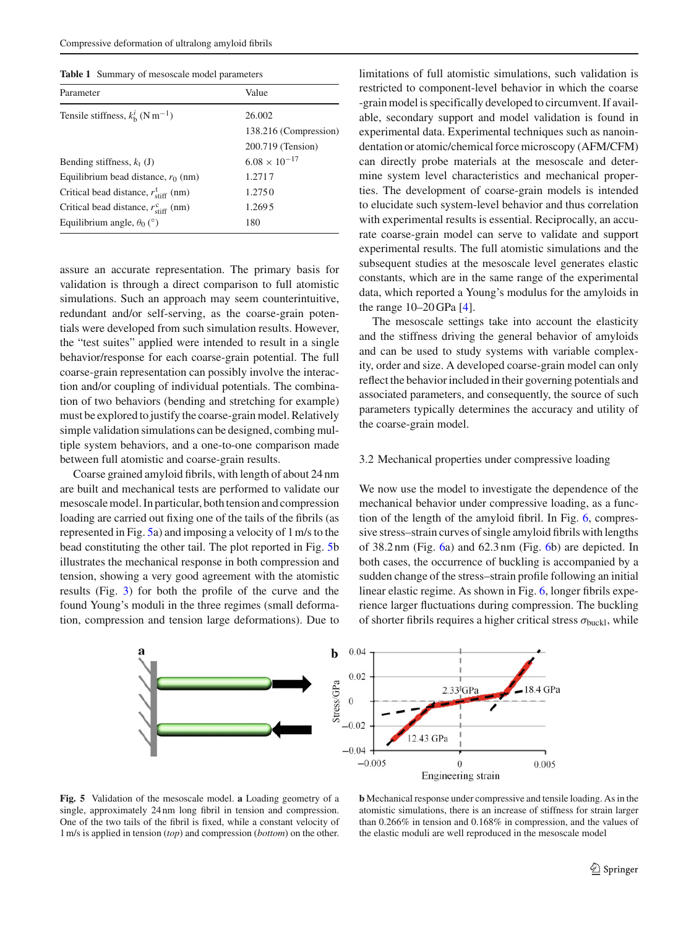|  |  |  | <b>Table 1</b> Summary of mesoscale model parameters |
|--|--|--|------------------------------------------------------|
|--|--|--|------------------------------------------------------|

<span id="page-6-0"></span>

| Parameter                                                  | Value                  |
|------------------------------------------------------------|------------------------|
| Tensile stiffness, $k_h^i$ (N m <sup>-1</sup> )            | 26.002                 |
|                                                            | 138.216 (Compression)  |
|                                                            | 200.719 (Tension)      |
| Bending stiffness, $k_t$ (J)                               | $6.08 \times 10^{-17}$ |
| Equilibrium bead distance, $r_0$ (nm)                      | 1.2717                 |
| Critical bead distance, $r_{\text{stiff}}^{\text{t}}$ (nm) | 1.2750                 |
| Critical bead distance, $r_{\text{stiff}}^{\text{c}}$ (nm) | 1.2695                 |
| Equilibrium angle, $\theta_0$ (°)                          | 180                    |

assure an accurate representation. The primary basis for validation is through a direct comparison to full atomistic simulations. Such an approach may seem counterintuitive, redundant and/or self-serving, as the coarse-grain potentials were developed from such simulation results. However, the "test suites" applied were intended to result in a single behavior/response for each coarse-grain potential. The full coarse-grain representation can possibly involve the interaction and/or coupling of individual potentials. The combination of two behaviors (bending and stretching for example) must be explored to justify the coarse-grain model. Relatively simple validation simulations can be designed, combing multiple system behaviors, and a one-to-one comparison made between full atomistic and coarse-grain results.

Coarse grained amyloid fibrils, with length of about 24 nm are built and mechanical tests are performed to validate our mesoscale model. In particular, both tension and compression loading are carried out fixing one of the tails of the fibrils (as represented in Fig. [5a](#page-6-1)) and imposing a velocity of 1 m/s to the bead constituting the other tail. The plot reported in Fig. [5b](#page-6-1) illustrates the mechanical response in both compression and tension, showing a very good agreement with the atomistic results (Fig. [3\)](#page-3-0) for both the profile of the curve and the found Young's moduli in the three regimes (small deformation, compression and tension large deformations). Due to limitations of full atomistic simulations, such validation is restricted to component-level behavior in which the coarse -grain model is specifically developed to circumvent. If available, secondary support and model validation is found in experimental data. Experimental techniques such as nanoindentation or atomic/chemical force microscopy (AFM/CFM) can directly probe materials at the mesoscale and determine system level characteristics and mechanical properties. The development of coarse-grain models is intended to elucidate such system-level behavior and thus correlation with experimental results is essential. Reciprocally, an accurate coarse-grain model can serve to validate and support experimental results. The full atomistic simulations and the subsequent studies at the mesoscale level generates elastic constants, which are in the same range of the experimental data, which reported a Young's modulus for the amyloids in the range 10–20 GPa [\[4](#page-8-3)].

The mesoscale settings take into account the elasticity and the stiffness driving the general behavior of amyloids and can be used to study systems with variable complexity, order and size. A developed coarse-grain model can only reflect the behavior included in their governing potentials and associated parameters, and consequently, the source of such parameters typically determines the accuracy and utility of the coarse-grain model.

## 3.2 Mechanical properties under compressive loading

We now use the model to investigate the dependence of the mechanical behavior under compressive loading, as a function of the length of the amyloid fibril. In Fig. [6,](#page-7-0) compressive stress–strain curves of single amyloid fibrils with lengths of 38.2 nm (Fig. [6a](#page-7-0)) and 62.3 nm (Fig. [6b](#page-7-0)) are depicted. In both cases, the occurrence of buckling is accompanied by a sudden change of the stress–strain profile following an initial linear elastic regime. As shown in Fig. [6,](#page-7-0) longer fibrils experience larger fluctuations during compression. The buckling of shorter fibrils requires a higher critical stress  $\sigma_{\text{buckl}}$ , while



<span id="page-6-1"></span>**Fig. 5** Validation of the mesoscale model. **a** Loading geometry of a single, approximately 24 nm long fibril in tension and compression. One of the two tails of the fibril is fixed, while a constant velocity of 1 m/s is applied in tension (*top*) and compression (*bottom*) on the other.

**b** Mechanical response under compressive and tensile loading. As in the atomistic simulations, there is an increase of stiffness for strain larger than 0.266% in tension and 0.168% in compression, and the values of the elastic moduli are well reproduced in the mesoscale model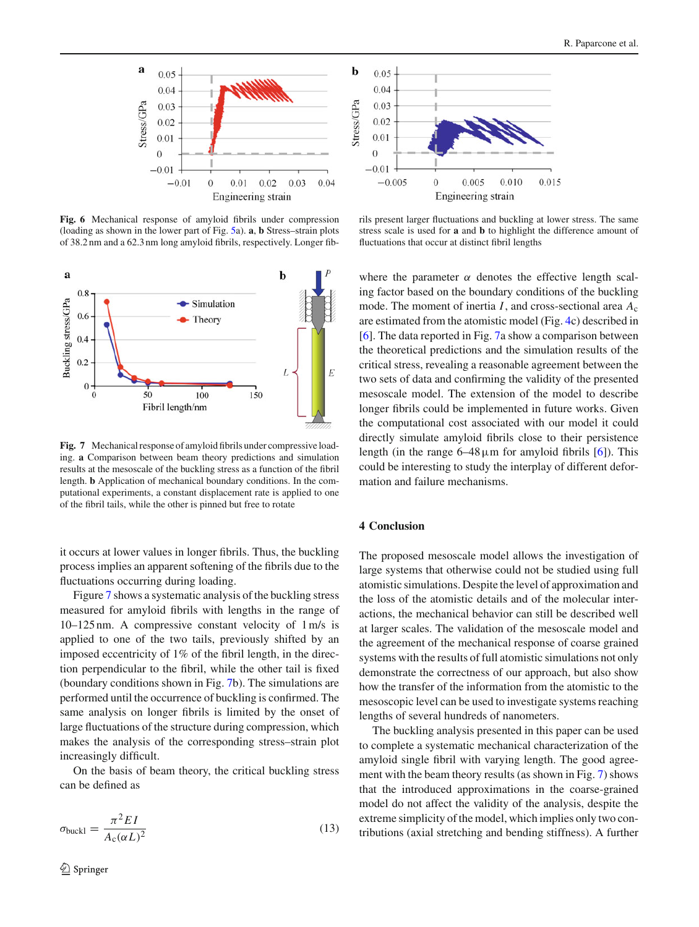

<span id="page-7-0"></span>**Fig. 6** Mechanical response of amyloid fibrils under compression (loading as shown in the lower part of Fig. [5a](#page-6-1)). **a**, **b** Stress–strain plots of 38.2 nm and a 62.3 nm long amyloid fibrils, respectively. Longer fib-



<span id="page-7-1"></span>**Fig. 7** Mechanical response of amyloid fibrils under compressive loading. **a** Comparison between beam theory predictions and simulation results at the mesoscale of the buckling stress as a function of the fibril length. **b** Application of mechanical boundary conditions. In the computational experiments, a constant displacement rate is applied to one of the fibril tails, while the other is pinned but free to rotate

it occurs at lower values in longer fibrils. Thus, the buckling process implies an apparent softening of the fibrils due to the fluctuations occurring during loading.

Figure [7](#page-7-1) shows a systematic analysis of the buckling stress measured for amyloid fibrils with lengths in the range of 10–125 nm. A compressive constant velocity of 1 m/s is applied to one of the two tails, previously shifted by an imposed eccentricity of 1% of the fibril length, in the direction perpendicular to the fibril, while the other tail is fixed (boundary conditions shown in Fig. [7b](#page-7-1)). The simulations are performed until the occurrence of buckling is confirmed. The same analysis on longer fibrils is limited by the onset of large fluctuations of the structure during compression, which makes the analysis of the corresponding stress–strain plot increasingly difficult.

On the basis of beam theory, the critical buckling stress can be defined as

$$
\sigma_{\text{buckl}} = \frac{\pi^2 EI}{A_{\text{c}}(\alpha L)^2} \tag{13}
$$



rils present larger fluctuations and buckling at lower stress. The same stress scale is used for **a** and **b** to highlight the difference amount of fluctuations that occur at distinct fibril lengths

where the parameter  $\alpha$  denotes the effective length scaling factor based on the boundary conditions of the buckling mode. The moment of inertia *I*, and cross-sectional area *A*<sup>c</sup> are estimated from the atomistic model (Fig. [4c](#page-3-1)) described in [\[6](#page-8-4)]. The data reported in Fig. [7a](#page-7-1) show a comparison between the theoretical predictions and the simulation results of the critical stress, revealing a reasonable agreement between the two sets of data and confirming the validity of the presented mesoscale model. The extension of the model to describe longer fibrils could be implemented in future works. Given the computational cost associated with our model it could directly simulate amyloid fibrils close to their persistence length (in the range  $6-48 \mu m$  for amyloid fibrils [\[6](#page-8-4)]). This could be interesting to study the interplay of different deformation and failure mechanisms.

# **4 Conclusion**

The proposed mesoscale model allows the investigation of large systems that otherwise could not be studied using full atomistic simulations. Despite the level of approximation and the loss of the atomistic details and of the molecular interactions, the mechanical behavior can still be described well at larger scales. The validation of the mesoscale model and the agreement of the mechanical response of coarse grained systems with the results of full atomistic simulations not only demonstrate the correctness of our approach, but also show how the transfer of the information from the atomistic to the mesoscopic level can be used to investigate systems reaching lengths of several hundreds of nanometers.

The buckling analysis presented in this paper can be used to complete a systematic mechanical characterization of the amyloid single fibril with varying length. The good agreement with the beam theory results (as shown in Fig. [7\)](#page-7-1) shows that the introduced approximations in the coarse-grained model do not affect the validity of the analysis, despite the extreme simplicity of the model, which implies only two contributions (axial stretching and bending stiffness). A further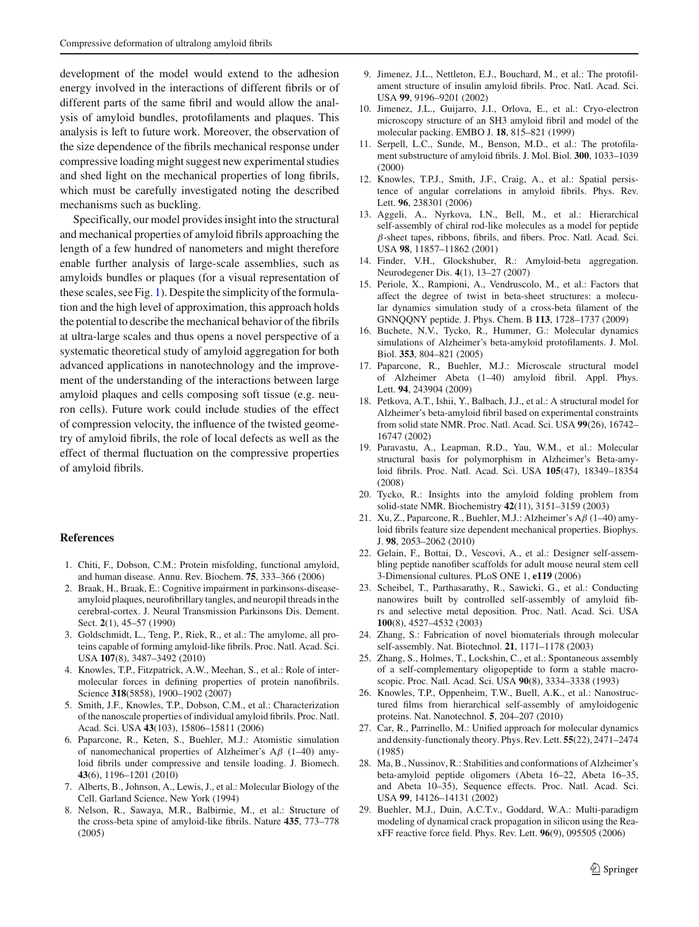development of the model would extend to the adhesion energy involved in the interactions of different fibrils or of different parts of the same fibril and would allow the analysis of amyloid bundles, protofilaments and plaques. This analysis is left to future work. Moreover, the observation of the size dependence of the fibrils mechanical response under compressive loading might suggest new experimental studies and shed light on the mechanical properties of long fibrils, which must be carefully investigated noting the described mechanisms such as buckling.

Specifically, our model provides insight into the structural and mechanical properties of amyloid fibrils approaching the length of a few hundred of nanometers and might therefore enable further analysis of large-scale assemblies, such as amyloids bundles or plaques (for a visual representation of these scales, see Fig. [1\)](#page-1-0). Despite the simplicity of the formulation and the high level of approximation, this approach holds the potential to describe the mechanical behavior of the fibrils at ultra-large scales and thus opens a novel perspective of a systematic theoretical study of amyloid aggregation for both advanced applications in nanotechnology and the improvement of the understanding of the interactions between large amyloid plaques and cells composing soft tissue (e.g. neuron cells). Future work could include studies of the effect of compression velocity, the influence of the twisted geometry of amyloid fibrils, the role of local defects as well as the effect of thermal fluctuation on the compressive properties of amyloid fibrils.

## <span id="page-8-0"></span>**References**

- 1. Chiti, F., Dobson, C.M.: Protein misfolding, functional amyloid, and human disease. Annu. Rev. Biochem. **75**, 333–366 (2006)
- <span id="page-8-1"></span>2. Braak, H., Braak, E.: Cognitive impairment in parkinsons-diseaseamyloid plaques, neurofibrillary tangles, and neuropil threads in the cerebral-cortex. J. Neural Transmission Parkinsons Dis. Dement. Sect. **2**(1), 45–57 (1990)
- <span id="page-8-2"></span>3. Goldschmidt, L., Teng, P., Riek, R., et al.: The amylome, all proteins capable of forming amyloid-like fibrils. Proc. Natl. Acad. Sci. USA **107**(8), 3487–3492 (2010)
- <span id="page-8-3"></span>4. Knowles, T.P., Fitzpatrick, A.W., Meehan, S., et al.: Role of intermolecular forces in defining properties of protein nanofibrils. Science **318**(5858), 1900–1902 (2007)
- 5. Smith, J.F., Knowles, T.P., Dobson, C.M., et al.: Characterization of the nanoscale properties of individual amyloid fibrils. Proc. Natl. Acad. Sci. USA **43**(103), 15806–15811 (2006)
- <span id="page-8-4"></span>6. Paparcone, R., Keten, S., Buehler, M.J.: Atomistic simulation of nanomechanical properties of Alzheimer's Aβ (1–40) amyloid fibrils under compressive and tensile loading. J. Biomech. **43**(6), 1196–1201 (2010)
- <span id="page-8-5"></span>7. Alberts, B., Johnson, A., Lewis, J., et al.: Molecular Biology of the Cell. Garland Science, New York (1994)
- <span id="page-8-6"></span>8. Nelson, R., Sawaya, M.R., Balbirnie, M., et al.: Structure of the cross-beta spine of amyloid-like fibrils. Nature **435**, 773–778 (2005)
- <span id="page-8-7"></span>9. Jimenez, J.L., Nettleton, E.J., Bouchard, M., et al.: The protofilament structure of insulin amyloid fibrils. Proc. Natl. Acad. Sci. USA **99**, 9196–9201 (2002)
- 10. Jimenez, J.L., Guijarro, J.I., Orlova, E., et al.: Cryo-electron microscopy structure of an SH3 amyloid fibril and model of the molecular packing. EMBO J. **18**, 815–821 (1999)
- <span id="page-8-8"></span>11. Serpell, L.C., Sunde, M., Benson, M.D., et al.: The protofilament substructure of amyloid fibrils. J. Mol. Biol. **300**, 1033–1039 (2000)
- <span id="page-8-9"></span>12. Knowles, T.P.J., Smith, J.F., Craig, A., et al.: Spatial persistence of angular correlations in amyloid fibrils. Phys. Rev. Lett. **96**, 238301 (2006)
- <span id="page-8-10"></span>13. Aggeli, A., Nyrkova, I.N., Bell, M., et al.: Hierarchical self-assembly of chiral rod-like molecules as a model for peptide β-sheet tapes, ribbons, fibrils, and fibers. Proc. Natl. Acad. Sci. USA **98**, 11857–11862 (2001)
- <span id="page-8-11"></span>14. Finder, V.H., Glockshuber, R.: Amyloid-beta aggregation. Neurodegener Dis. **4**(1), 13–27 (2007)
- <span id="page-8-12"></span>15. Periole, X., Rampioni, A., Vendruscolo, M., et al.: Factors that affect the degree of twist in beta-sheet structures: a molecular dynamics simulation study of a cross-beta filament of the GNNQQNY peptide. J. Phys. Chem. B **113**, 1728–1737 (2009)
- 16. Buchete, N.V., Tycko, R., Hummer, G.: Molecular dynamics simulations of Alzheimer's beta-amyloid protofilaments. J. Mol. Biol. **353**, 804–821 (2005)
- <span id="page-8-13"></span>17. Paparcone, R., Buehler, M.J.: Microscale structural model of Alzheimer Abeta (1–40) amyloid fibril. Appl. Phys. Lett. **94**, 243904 (2009)
- <span id="page-8-14"></span>18. Petkova, A.T., Ishii, Y., Balbach, J.J., et al.: A structural model for Alzheimer's beta-amyloid fibril based on experimental constraints from solid state NMR. Proc. Natl. Acad. Sci. USA **99**(26), 16742– 16747 (2002)
- 19. Paravastu, A., Leapman, R.D., Yau, W.M., et al.: Molecular structural basis for polymorphism in Alzheimer's Beta-amyloid fibrils. Proc. Natl. Acad. Sci. USA **105**(47), 18349–18354 (2008)
- <span id="page-8-15"></span>20. Tycko, R.: Insights into the amyloid folding problem from solid-state NMR. Biochemistry **42**(11), 3151–3159 (2003)
- <span id="page-8-16"></span>21. Xu, Z., Paparcone, R., Buehler, M.J.: Alzheimer's Aβ (1–40) amyloid fibrils feature size dependent mechanical properties. Biophys. J. **98**, 2053–2062 (2010)
- <span id="page-8-17"></span>22. Gelain, F., Bottai, D., Vescovi, A., et al.: Designer self-assembling peptide nanofiber scaffolds for adult mouse neural stem cell 3-Dimensional cultures. PLoS ONE 1, **e119** (2006)
- 23. Scheibel, T., Parthasarathy, R., Sawicki, G., et al.: Conducting nanowires built by controlled self-assembly of amyloid fibrs and selective metal deposition. Proc. Natl. Acad. Sci. USA **100**(8), 4527–4532 (2003)
- 24. Zhang, S.: Fabrication of novel biomaterials through molecular self-assembly. Nat. Biotechnol. **21**, 1171–1178 (2003)
- <span id="page-8-18"></span>25. Zhang, S., Holmes, T., Lockshin, C., et al.: Spontaneous assembly of a self-complementary oligopeptide to form a stable macroscopic. Proc. Natl. Acad. Sci. USA **90**(8), 3334–3338 (1993)
- <span id="page-8-19"></span>26. Knowles, T.P., Oppenheim, T.W., Buell, A.K., et al.: Nanostructured films from hierarchical self-assembly of amyloidogenic proteins. Nat. Nanotechnol. **5**, 204–207 (2010)
- <span id="page-8-20"></span>27. Car, R., Parrinello, M.: Unified approach for molecular dynamics and density-functionaly theory. Phys. Rev. Lett. **55**(22), 2471–2474 (1985)
- <span id="page-8-21"></span>28. Ma, B., Nussinov, R.: Stabilities and conformations of Alzheimer's beta-amyloid peptide oligomers (Abeta 16–22, Abeta 16–35, and Abeta 10–35), Sequence effects. Proc. Natl. Acad. Sci. USA **99**, 14126–14131 (2002)
- <span id="page-8-22"></span>29. Buehler, M.J., Duin, A.C.T.v., Goddard, W.A.: Multi-paradigm modeling of dynamical crack propagation in silicon using the ReaxFF reactive force field. Phys. Rev. Lett. **96**(9), 095505 (2006)